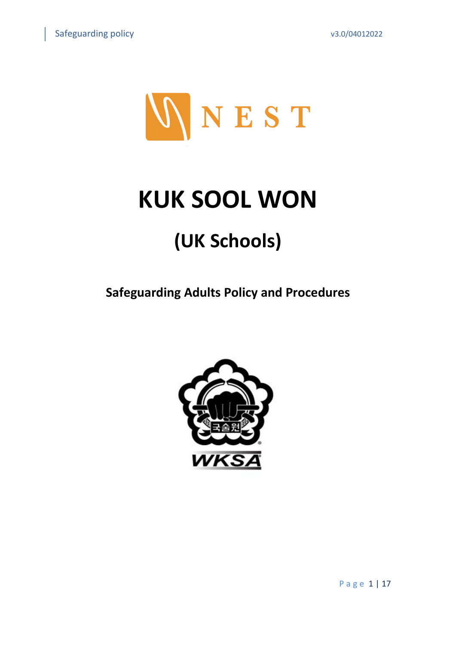

# **KUK SOOL WON**

## **(UK Schools)**

**Safeguarding Adults Policy and Procedures**

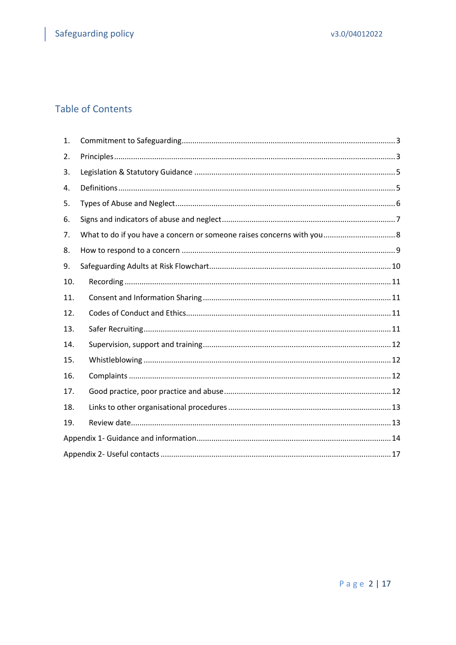### **Table of Contents**

| 1.  |  |
|-----|--|
| 2.  |  |
| 3.  |  |
| 4.  |  |
| 5.  |  |
| 6.  |  |
| 7.  |  |
| 8.  |  |
| 9.  |  |
| 10. |  |
| 11. |  |
| 12. |  |
| 13. |  |
| 14. |  |
| 15. |  |
| 16. |  |
| 17. |  |
| 18. |  |
| 19. |  |
|     |  |
|     |  |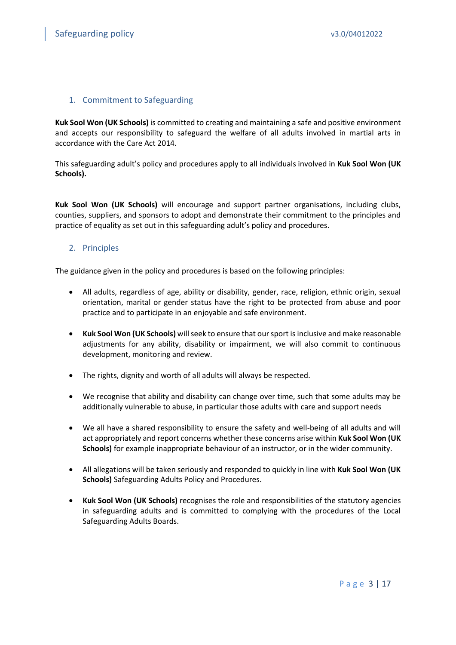#### <span id="page-2-0"></span>1. Commitment to Safeguarding

**Kuk Sool Won (UK Schools)** is committed to creating and maintaining a safe and positive environment and accepts our responsibility to safeguard the welfare of all adults involved in martial arts in accordance with the Care Act 2014.

This safeguarding adult's policy and procedures apply to all individuals involved in **Kuk Sool Won (UK Schools).**

**Kuk Sool Won (UK Schools)** will encourage and support partner organisations, including clubs, counties, suppliers, and sponsors to adopt and demonstrate their commitment to the principles and practice of equality as set out in this safeguarding adult's policy and procedures.

#### <span id="page-2-1"></span>2. Principles

The guidance given in the policy and procedures is based on the following principles:

- All adults, regardless of age, ability or disability, gender, race, religion, ethnic origin, sexual orientation, marital or gender status have the right to be protected from abuse and poor practice and to participate in an enjoyable and safe environment.
- **Kuk Sool Won (UK Schools)** will seek to ensure that our sport is inclusive and make reasonable adjustments for any ability, disability or impairment, we will also commit to continuous development, monitoring and review.
- The rights, dignity and worth of all adults will always be respected.
- We recognise that ability and disability can change over time, such that some adults may be additionally vulnerable to abuse, in particular those adults with care and support needs
- We all have a shared responsibility to ensure the safety and well-being of all adults and will act appropriately and report concerns whether these concerns arise within **Kuk Sool Won (UK Schools)** for example inappropriate behaviour of an instructor, or in the wider community.
- All allegations will be taken seriously and responded to quickly in line with **Kuk Sool Won (UK Schools)** Safeguarding Adults Policy and Procedures.
- **Kuk Sool Won (UK Schools)** recognises the role and responsibilities of the statutory agencies in safeguarding adults and is committed to complying with the procedures of the Local Safeguarding Adults Boards.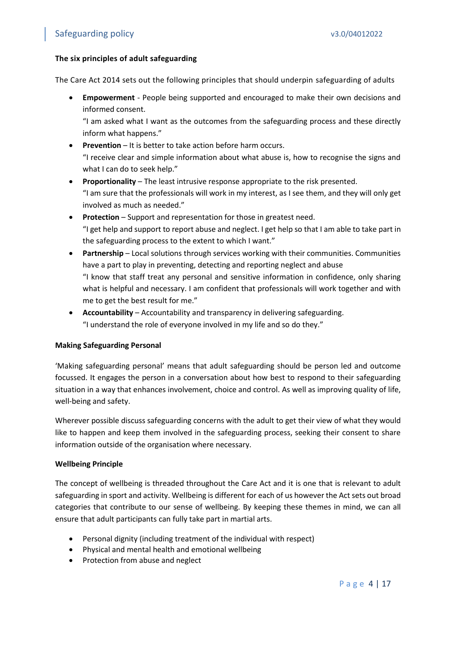#### **The six principles of adult safeguarding**

The Care Act 2014 sets out the following principles that should underpin safeguarding of adults

• **Empowerment** - People being supported and encouraged to make their own decisions and informed consent.

"I am asked what I want as the outcomes from the safeguarding process and these directly inform what happens."

- **Prevention** It is better to take action before harm occurs. "I receive clear and simple information about what abuse is, how to recognise the signs and what I can do to seek help."
- **Proportionality** The least intrusive response appropriate to the risk presented. "I am sure that the professionals will work in my interest, as I see them, and they will only get involved as much as needed."
- **Protection** Support and representation for those in greatest need. "I get help and support to report abuse and neglect. I get help so that I am able to take part in the safeguarding process to the extent to which I want."
- **Partnership** Local solutions through services working with their communities. Communities have a part to play in preventing, detecting and reporting neglect and abuse "I know that staff treat any personal and sensitive information in confidence, only sharing what is helpful and necessary. I am confident that professionals will work together and with me to get the best result for me."
- **Accountability** Accountability and transparency in delivering safeguarding. "I understand the role of everyone involved in my life and so do they."

#### **Making Safeguarding Personal**

'Making safeguarding personal' means that adult safeguarding should be person led and outcome focussed. It engages the person in a conversation about how best to respond to their safeguarding situation in a way that enhances involvement, choice and control. As well as improving quality of life, well-being and safety.

Wherever possible discuss safeguarding concerns with the adult to get their view of what they would like to happen and keep them involved in the safeguarding process, seeking their consent to share information outside of the organisation where necessary.

#### **Wellbeing Principle**

The concept of wellbeing is threaded throughout the Care Act and it is one that is relevant to adult safeguarding in sport and activity. Wellbeing is different for each of us however the Act sets out broad categories that contribute to our sense of wellbeing. By keeping these themes in mind, we can all ensure that adult participants can fully take part in martial arts.

- Personal dignity (including treatment of the individual with respect)
- Physical and mental health and emotional wellbeing
- Protection from abuse and neglect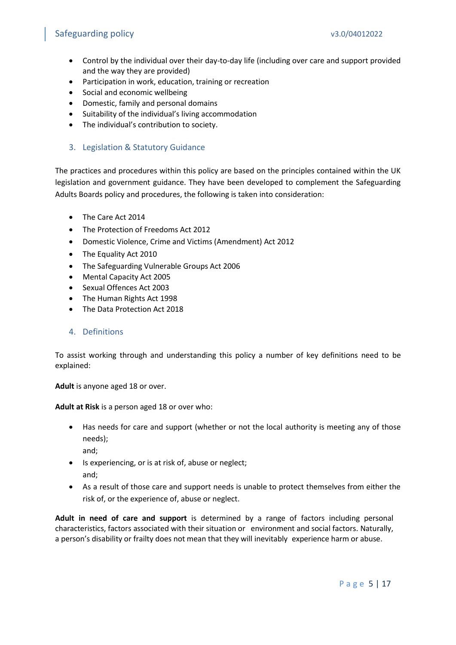- Control by the individual over their day-to-day life (including over care and support provided and the way they are provided)
- Participation in work, education, training or recreation
- Social and economic wellbeing
- Domestic, family and personal domains
- Suitability of the individual's living accommodation
- The individual's contribution to society.

#### <span id="page-4-0"></span>3. Legislation & Statutory Guidance

The practices and procedures within this policy are based on the principles contained within the UK legislation and government guidance. They have been developed to complement the Safeguarding Adults Boards policy and procedures, the following is taken into consideration:

- The Care Act 2014
- The Protection of Freedoms Act 2012
- Domestic Violence, Crime and Victims (Amendment) Act 2012
- The Equality Act 2010
- The Safeguarding Vulnerable Groups Act 2006
- Mental Capacity Act 2005
- Sexual Offences Act 2003
- The Human Rights Act 1998
- The Data Protection Act 2018
- <span id="page-4-1"></span>4. Definitions

To assist working through and understanding this policy a number of key definitions need to be explained:

**Adult** is anyone aged 18 or over.

**Adult at Risk** is a person aged 18 or over who:

• Has needs for care and support (whether or not the local authority is meeting any of those needs);

and;

- Is experiencing, or is at risk of, abuse or neglect; and;
- As a result of those care and support needs is unable to protect themselves from either the risk of, or the experience of, abuse or neglect.

**Adult in need of care and support** is determined by a range of factors including personal characteristics, factors associated with their situation or environment and social factors. Naturally, a person's disability or frailty does not mean that they will inevitably experience harm or abuse.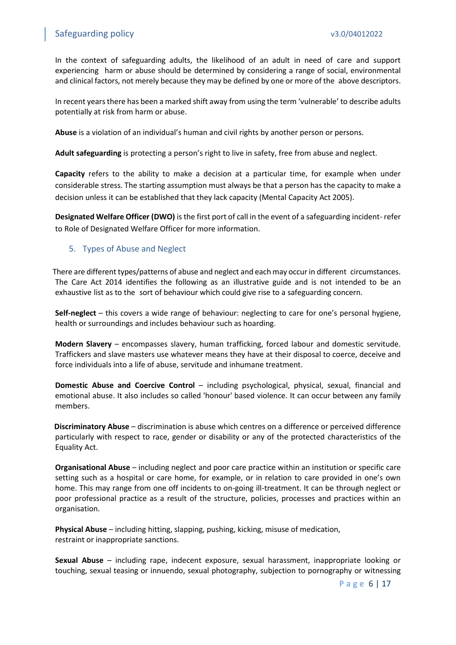In the context of safeguarding adults, the likelihood of an adult in need of care and support experiencing harm or abuse should be determined by considering a range of social, environmental and clinical factors, not merely because they may be defined by one or more of the above descriptors.

In recent years there has been a marked shift away from using the term 'vulnerable' to describe adults potentially at risk from harm or abuse.

**Abuse** is a violation of an individual's human and civil rights by another person or persons.

**Adult safeguarding** is protecting a person's right to live in safety, free from abuse and neglect.

**Capacity** refers to the ability to make a decision at a particular time, for example when under considerable stress. The starting assumption must always be that a person has the capacity to make a decision unless it can be established that they lack capacity (Mental Capacity Act 2005).

**Designated Welfare Officer (DWO)** is the first port of call in the event of a safeguarding incident- refer to Role of Designated Welfare Officer for more information.

#### <span id="page-5-0"></span>5. Types of Abuse and Neglect

 There are different types/patterns of abuse and neglect and each may occur in different circumstances. The Care Act 2014 identifies the following as an illustrative guide and is not intended to be an exhaustive list as to the sort of behaviour which could give rise to a safeguarding concern.

**Self-neglect** – this covers a wide range of behaviour: neglecting to care for one's personal hygiene, health or surroundings and includes behaviour such as hoarding.

**Modern Slavery** – encompasses slavery, human trafficking, forced labour and domestic servitude. Traffickers and slave masters use whatever means they have at their disposal to coerce, deceive and force individuals into a life of abuse, servitude and inhumane treatment.

**Domestic Abuse and Coercive Control** – including psychological, physical, sexual, financial and emotional abuse. It also includes so called 'honour' based violence. It can occur between any family members.

**Discriminatory Abuse** – discrimination is abuse which centres on a difference or perceived difference particularly with respect to race, gender or disability or any of the protected characteristics of the Equality Act.

**Organisational Abuse** – including neglect and poor care practice within an institution or specific care setting such as a hospital or care home, for example, or in relation to care provided in one's own home. This may range from one off incidents to on-going ill-treatment. It can be through neglect or poor professional practice as a result of the structure, policies, processes and practices within an organisation.

**Physical Abuse** – including hitting, slapping, pushing, kicking, misuse of medication, restraint or inappropriate sanctions.

**Sexual Abuse** – including rape, indecent exposure, sexual harassment, inappropriate looking or touching, sexual teasing or innuendo, sexual photography, subjection to pornography or witnessing

P a g e 6 | 17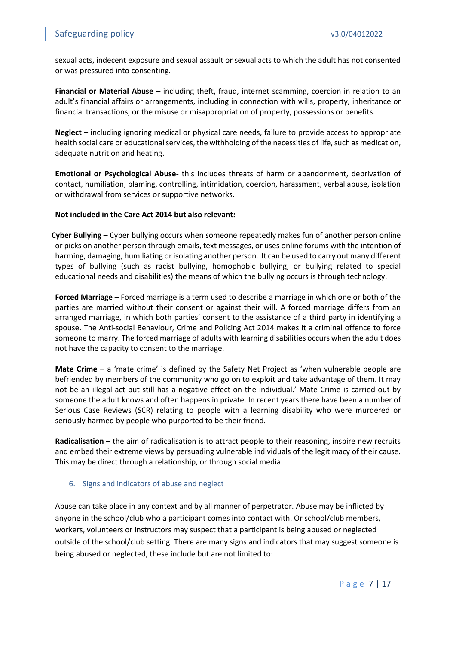sexual acts, indecent exposure and sexual assault or sexual acts to which the adult has not consented or was pressured into consenting.

**Financial or Material Abuse** – including theft, fraud, internet scamming, coercion in relation to an adult's financial affairs or arrangements, including in connection with wills, property, inheritance or financial transactions, or the misuse or misappropriation of property, possessions or benefits.

**Neglect** – including ignoring medical or physical care needs, failure to provide access to appropriate health social care or educational services, the withholding of the necessities of life, such as medication, adequate nutrition and heating.

**Emotional or Psychological Abuse-** this includes threats of harm or abandonment, deprivation of contact, humiliation, blaming, controlling, intimidation, coercion, harassment, verbal abuse, isolation or withdrawal from services or supportive networks.

**Not included in the Care Act 2014 but also relevant:**

 **Cyber Bullying** – Cyber bullying occurs when someone repeatedly makes fun of another person online or picks on another person through emails, text messages, or uses online forums with the intention of harming, damaging, humiliating or isolating another person. It can be used to carry out many different types of bullying (such as racist bullying, homophobic bullying, or bullying related to special educational needs and disabilities) the means of which the bullying occurs is through technology.

**Forced Marriage** – Forced marriage is a term used to describe a marriage in which one or both of the parties are married without their consent or against their will. A forced marriage differs from an arranged marriage, in which both parties' consent to the assistance of a third party in identifying a spouse. The Anti-social Behaviour, Crime and Policing Act 2014 makes it a criminal offence to force someone to marry. The forced marriage of adults with learning disabilities occurs when the adult does not have the capacity to consent to the marriage.

**Mate Crime** – a 'mate crime' is defined by the Safety Net Project as 'when vulnerable people are befriended by members of the community who go on to exploit and take advantage of them. It may not be an illegal act but still has a negative effect on the individual.' Mate Crime is carried out by someone the adult knows and often happens in private. In recent years there have been a number of Serious Case Reviews (SCR) relating to people with a learning disability who were murdered or seriously harmed by people who purported to be their friend.

**Radicalisation** – the aim of radicalisation is to attract people to their reasoning, inspire new recruits and embed their extreme views by persuading vulnerable individuals of the legitimacy of their cause. This may be direct through a relationship, or through social media.

#### <span id="page-6-0"></span>6. Signs and indicators of abuse and neglect

Abuse can take place in any context and by all manner of perpetrator. Abuse may be inflicted by anyone in the school/club who a participant comes into contact with. Or school/club members, workers, volunteers or instructors may suspect that a participant is being abused or neglected outside of the school/club setting. There are many signs and indicators that may suggest someone is being abused or neglected, these include but are not limited to: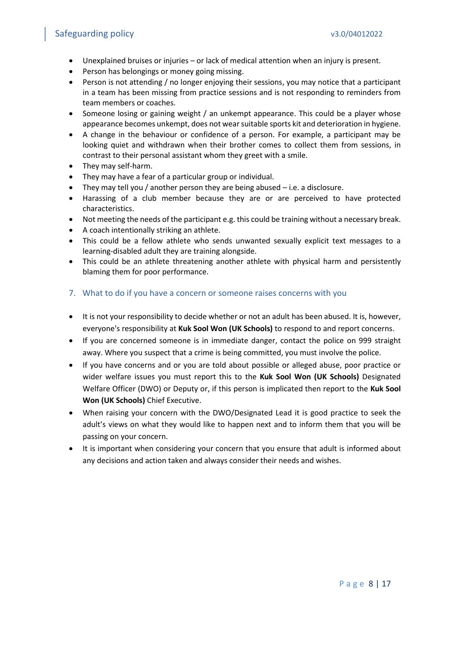- Unexplained bruises or injuries or lack of medical attention when an injury is present.
- Person has belongings or money going missing.
- Person is not attending / no longer enjoying their sessions, you may notice that a participant in a team has been missing from practice sessions and is not responding to reminders from team members or coaches.
- Someone losing or gaining weight / an unkempt appearance. This could be a player whose appearance becomes unkempt, does not wear suitable sports kit and deterioration in hygiene.
- A change in the behaviour or confidence of a person. For example, a participant may be looking quiet and withdrawn when their brother comes to collect them from sessions, in contrast to their personal assistant whom they greet with a smile.
- They may self-harm.
- They may have a fear of a particular group or individual.
- They may tell you / another person they are being abused i.e. a disclosure.
- Harassing of a club member because they are or are perceived to have protected characteristics.
- Not meeting the needs of the participant e.g. this could be training without a necessary break.
- A coach intentionally striking an athlete.
- This could be a fellow athlete who sends unwanted sexually explicit text messages to a learning-disabled adult they are training alongside.
- This could be an athlete threatening another athlete with physical harm and persistently blaming them for poor performance.
- <span id="page-7-0"></span>7. What to do if you have a concern or someone raises concerns with you
- It is not your responsibility to decide whether or not an adult has been abused. It is, however, everyone's responsibility at **Kuk Sool Won (UK Schools)** to respond to and report concerns.
- If you are concerned someone is in immediate danger, contact the police on 999 straight away. Where you suspect that a crime is being committed, you must involve the police.
- If you have concerns and or you are told about possible or alleged abuse, poor practice or wider welfare issues you must report this to the **Kuk Sool Won (UK Schools)** Designated Welfare Officer (DWO) or Deputy or, if this person is implicated then report to the **Kuk Sool Won (UK Schools)** Chief Executive.
- When raising your concern with the DWO/Designated Lead it is good practice to seek the adult's views on what they would like to happen next and to inform them that you will be passing on your concern.
- It is important when considering your concern that you ensure that adult is informed about any decisions and action taken and always consider their needs and wishes.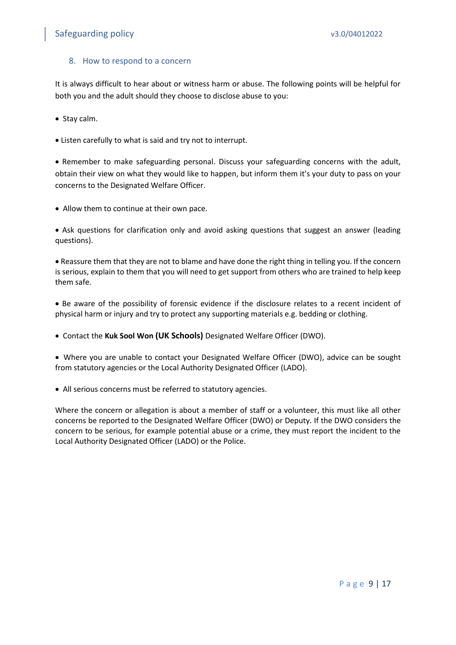#### <span id="page-8-0"></span>8. How to respond to a concern

It is always difficult to hear about or witness harm or abuse. The following points will be helpful for both you and the adult should they choose to disclose abuse to you:

• Stay calm.

• Listen carefully to what is said and try not to interrupt.

• Remember to make safeguarding personal. Discuss your safeguarding concerns with the adult, obtain their view on what they would like to happen, but inform them it's your duty to pass on your concerns to the Designated Welfare Officer.

• Allow them to continue at their own pace.

• Ask questions for clarification only and avoid asking questions that suggest an answer (leading questions).

• Reassure them that they are not to blame and have done the right thing in telling you. If the concern is serious, explain to them that you will need to get support from others who are trained to help keep them safe.

• Be aware of the possibility of forensic evidence if the disclosure relates to a recent incident of physical harm or injury and try to protect any supporting materials e.g. bedding or clothing.

• Contact the **Kuk Sool Won (UK Schools)** Designated Welfare Officer (DWO).

• Where you are unable to contact your Designated Welfare Officer (DWO), advice can be sought from statutory agencies or the Local Authority Designated Officer (LADO).

• All serious concerns must be referred to statutory agencies.

Where the concern or allegation is about a member of staff or a volunteer, this must like all other concerns be reported to the Designated Welfare Officer (DWO) or Deputy. If the DWO considers the concern to be serious, for example potential abuse or a crime, they must report the incident to the Local Authority Designated Officer (LADO) or the Police.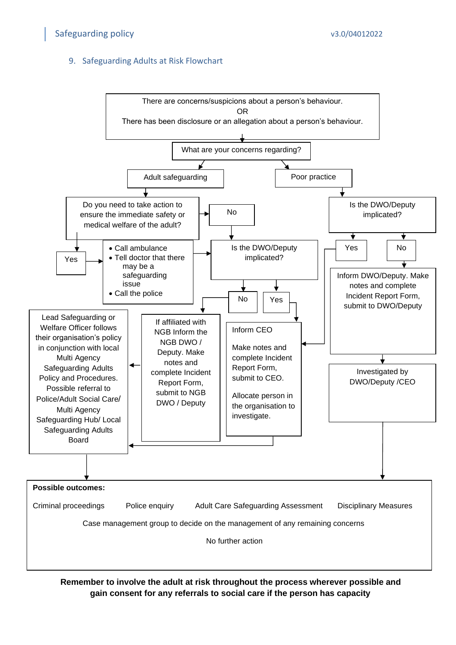#### <span id="page-9-0"></span>9. Safeguarding Adults at Risk Flowchart



Remember to involve the adult at risk throughout the process wherever possible and **gain consent for any referrals to social care if the person has capacity**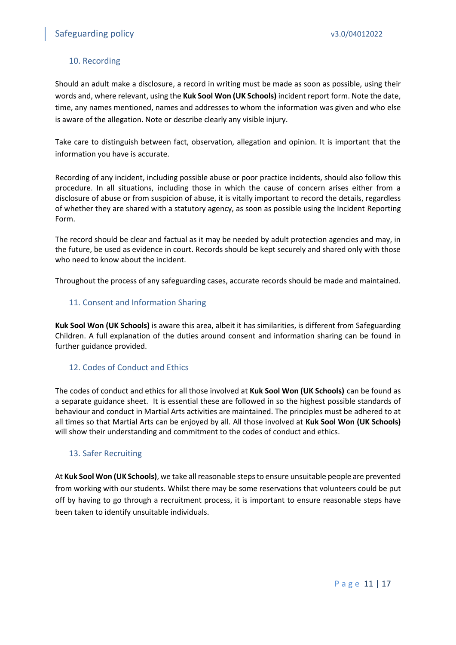#### <span id="page-10-0"></span>10. Recording

Should an adult make a disclosure, a record in writing must be made as soon as possible, using their words and, where relevant, using the **Kuk Sool Won (UK Schools)** incident report form. Note the date, time, any names mentioned, names and addresses to whom the information was given and who else is aware of the allegation. Note or describe clearly any visible injury.

Take care to distinguish between fact, observation, allegation and opinion. It is important that the information you have is accurate.

Recording of any incident, including possible abuse or poor practice incidents, should also follow this procedure. In all situations, including those in which the cause of concern arises either from a disclosure of abuse or from suspicion of abuse, it is vitally important to record the details, regardless of whether they are shared with a statutory agency, as soon as possible using the Incident Reporting Form.

The record should be clear and factual as it may be needed by adult protection agencies and may, in the future, be used as evidence in court. Records should be kept securely and shared only with those who need to know about the incident.

Throughout the process of any safeguarding cases, accurate records should be made and maintained.

#### <span id="page-10-1"></span>11. Consent and Information Sharing

**Kuk Sool Won (UK Schools)** is aware this area, albeit it has similarities, is different from Safeguarding Children. A full explanation of the duties around consent and information sharing can be found in further guidance provided.

#### <span id="page-10-2"></span>12. Codes of Conduct and Ethics

The codes of conduct and ethics for all those involved at **Kuk Sool Won (UK Schools)** can be found as a separate guidance sheet. It is essential these are followed in so the highest possible standards of behaviour and conduct in Martial Arts activities are maintained. The principles must be adhered to at all times so that Martial Arts can be enjoyed by all. All those involved at **Kuk Sool Won (UK Schools)** will show their understanding and commitment to the codes of conduct and ethics.

#### <span id="page-10-3"></span>13. Safer Recruiting

At **Kuk Sool Won (UK Schools)**, we take all reasonable steps to ensure unsuitable people are prevented from working with our students. Whilst there may be some reservations that volunteers could be put off by having to go through a recruitment process, it is important to ensure reasonable steps have been taken to identify unsuitable individuals.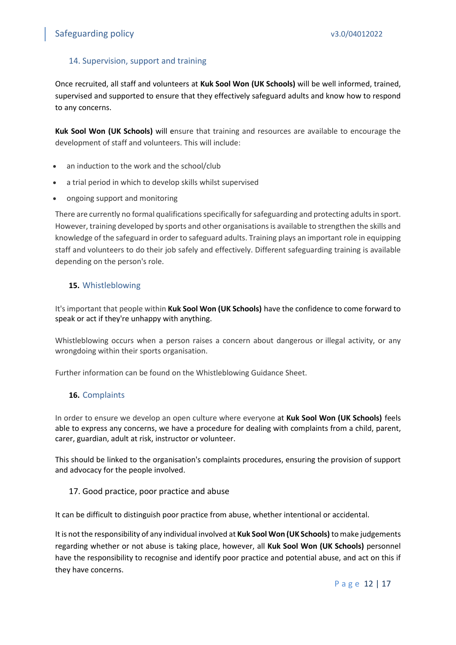#### <span id="page-11-0"></span>14. Supervision, support and training

Once recruited, all staff and volunteers at **Kuk Sool Won (UK Schools)** will be well informed, trained, supervised and supported to ensure that they effectively safeguard adults and know how to respond to any concerns.

**Kuk Sool Won (UK Schools)** will ensure that training and resources are available to encourage the development of staff and volunteers. This will include:

- an induction to the work and the school/club
- a trial period in which to develop skills whilst supervised
- ongoing support and monitoring

There are currently no formal qualifications specifically for safeguarding and protecting adults in sport. However, training developed by sports and other organisations is available to strengthen the skills and knowledge of the safeguard in order to safeguard adults. Training plays an important role in equipping staff and volunteers to do their job safely and effectively. Different safeguarding training is available depending on the person's role.

#### <span id="page-11-1"></span>**15.** Whistleblowing

It's important that people within **Kuk Sool Won (UK Schools)** have the confidence to come forward to speak or act if they're unhappy with anything.

Whistleblowing occurs when a person raises a concern about dangerous or illegal activity, or any wrongdoing within their sports organisation.

Further information can be found on the Whistleblowing Guidance Sheet.

#### <span id="page-11-2"></span>**16.** Complaints

In order to ensure we develop an open culture where everyone at **Kuk Sool Won (UK Schools)** feels able to express any concerns, we have a procedure for dealing with complaints from a child, parent, carer, guardian, adult at risk, instructor or volunteer.

This should be linked to the organisation's complaints procedures, ensuring the provision of support and advocacy for the people involved.

#### <span id="page-11-3"></span>17. Good practice, poor practice and abuse

It can be difficult to distinguish poor practice from abuse, whether intentional or accidental.

It is not the responsibility of any individual involved at **Kuk Sool Won (UK Schools)** to make judgements regarding whether or not abuse is taking place, however, all **Kuk Sool Won (UK Schools)** personnel have the responsibility to recognise and identify poor practice and potential abuse, and act on this if they have concerns.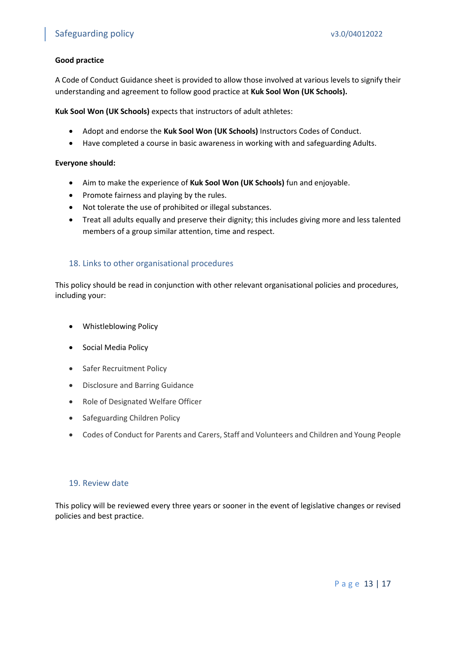#### **Good practice**

A Code of Conduct Guidance sheet is provided to allow those involved at various levels to signify their understanding and agreement to follow good practice at **Kuk Sool Won (UK Schools).**

**Kuk Sool Won (UK Schools)** expects that instructors of adult athletes:

- Adopt and endorse the **Kuk Sool Won (UK Schools)** Instructors Codes of Conduct.
- Have completed a course in basic awareness in working with and safeguarding Adults.

#### **Everyone should:**

- Aim to make the experience of **Kuk Sool Won (UK Schools)** fun and enjoyable.
- Promote fairness and playing by the rules.
- Not tolerate the use of prohibited or illegal substances.
- Treat all adults equally and preserve their dignity; this includes giving more and less talented members of a group similar attention, time and respect.

#### <span id="page-12-0"></span>18. Links to other organisational procedures

This policy should be read in conjunction with other relevant organisational policies and procedures, including your:

- Whistleblowing Policy
- Social Media Policy
- Safer Recruitment Policy
- Disclosure and Barring Guidance
- Role of Designated Welfare Officer
- Safeguarding Children Policy
- Codes of Conduct for Parents and Carers, Staff and Volunteers and Children and Young People

#### <span id="page-12-1"></span>19. Review date

This policy will be reviewed every three years or sooner in the event of legislative changes or revised policies and best practice.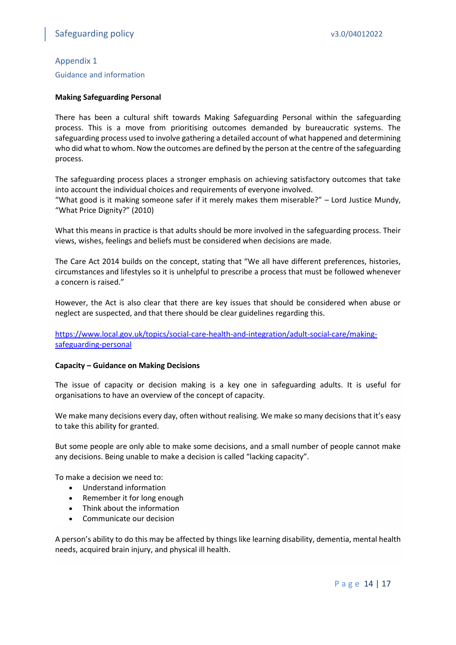#### <span id="page-13-0"></span>Appendix 1

Guidance and information

#### **Making Safeguarding Personal**

There has been a cultural shift towards Making Safeguarding Personal within the safeguarding process. This is a move from prioritising outcomes demanded by bureaucratic systems. The safeguarding process used to involve gathering a detailed account of what happened and determining who did what to whom. Now the outcomes are defined by the person at the centre of the safeguarding process.

The safeguarding process places a stronger emphasis on achieving satisfactory outcomes that take into account the individual choices and requirements of everyone involved.

"What good is it making someone safer if it merely makes them miserable?" – Lord Justice Mundy, "What Price Dignity?" (2010)

What this means in practice is that adults should be more involved in the safeguarding process. Their views, wishes, feelings and beliefs must be considered when decisions are made.

The Care Act 2014 builds on the concept, stating that "We all have different preferences, histories, circumstances and lifestyles so it is unhelpful to prescribe a process that must be followed whenever a concern is raised."

However, the Act is also clear that there are key issues that should be considered when abuse or neglect are suspected, and that there should be clear guidelines regarding this.

[https://www.local.gov.uk/topics/social-care-health-and-integration/adult-social-care/making](https://www.local.gov.uk/topics/social-care-health-and-integration/adult-social-care/making-safeguarding-personal)[safeguarding-personal](https://www.local.gov.uk/topics/social-care-health-and-integration/adult-social-care/making-safeguarding-personal)

#### **Capacity – Guidance on Making Decisions**

The issue of capacity or decision making is a key one in safeguarding adults. It is useful for organisations to have an overview of the concept of capacity.

We make many decisions every day, often without realising. We make so many decisions that it's easy to take this ability for granted.

But some people are only able to make some decisions, and a small number of people cannot make any decisions. Being unable to make a decision is called "lacking capacity".

To make a decision we need to:

- Understand information
- Remember it for long enough
- Think about the information
- Communicate our decision

A person's ability to do this may be affected by things like learning disability, dementia, mental health needs, acquired brain injury, and physical ill health.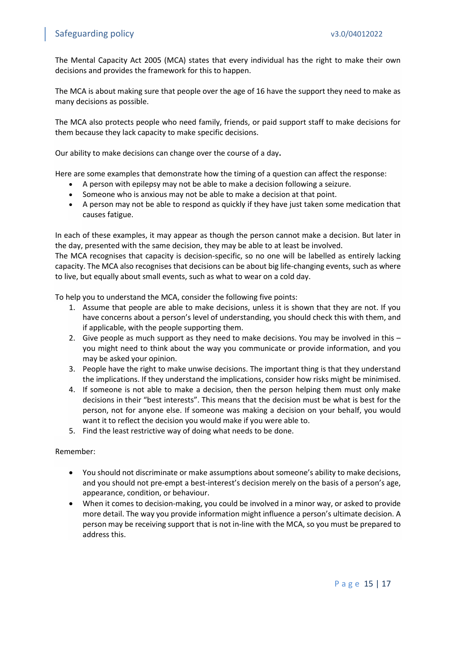The Mental Capacity Act 2005 (MCA) states that every individual has the right to make their own decisions and provides the framework for this to happen.

The MCA is about making sure that people over the age of 16 have the support they need to make as many decisions as possible.

The MCA also protects people who need family, friends, or paid support staff to make decisions for them because they lack capacity to make specific decisions.

Our ability to make decisions can change over the course of a day**.**

Here are some examples that demonstrate how the timing of a question can affect the response:

- A person with epilepsy may not be able to make a decision following a seizure.
- Someone who is anxious may not be able to make a decision at that point.
- A person may not be able to respond as quickly if they have just taken some medication that causes fatigue.

In each of these examples, it may appear as though the person cannot make a decision. But later in the day, presented with the same decision, they may be able to at least be involved.

The MCA recognises that capacity is decision-specific, so no one will be labelled as entirely lacking capacity. The MCA also recognises that decisions can be about big life-changing events, such as where to live, but equally about small events, such as what to wear on a cold day.

To help you to understand the MCA, consider the following five points:

- 1. Assume that people are able to make decisions, unless it is shown that they are not. If you have concerns about a person's level of understanding, you should check this with them, and if applicable, with the people supporting them.
- 2. Give people as much support as they need to make decisions. You may be involved in this you might need to think about the way you communicate or provide information, and you may be asked your opinion.
- 3. People have the right to make unwise decisions. The important thing is that they understand the implications. If they understand the implications, consider how risks might be minimised.
- 4. If someone is not able to make a decision, then the person helping them must only make decisions in their "best interests". This means that the decision must be what is best for the person, not for anyone else. If someone was making a decision on your behalf, you would want it to reflect the decision you would make if you were able to.
- 5. Find the least restrictive way of doing what needs to be done.

#### Remember:

- You should not discriminate or make assumptions about someone's ability to make decisions, and you should not pre-empt a best-interest's decision merely on the basis of a person's age, appearance, condition, or behaviour.
- When it comes to decision-making, you could be involved in a minor way, or asked to provide more detail. The way you provide information might influence a person's ultimate decision. A person may be receiving support that is not in-line with the MCA, so you must be prepared to address this.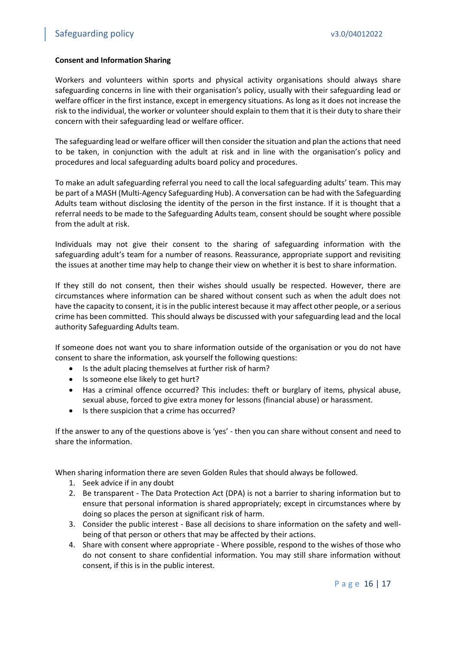#### **Consent and Information Sharing**

Workers and volunteers within sports and physical activity organisations should always share safeguarding concerns in line with their organisation's policy, usually with their safeguarding lead or welfare officer in the first instance, except in emergency situations. As long as it does not increase the risk to the individual, the worker or volunteer should explain to them that it is their duty to share their concern with their safeguarding lead or welfare officer.

The safeguarding lead or welfare officer will then consider the situation and plan the actions that need to be taken, in conjunction with the adult at risk and in line with the organisation's policy and procedures and local safeguarding adults board policy and procedures.

To make an adult safeguarding referral you need to call the local safeguarding adults' team. This may be part of a MASH (Multi-Agency Safeguarding Hub). A conversation can be had with the Safeguarding Adults team without disclosing the identity of the person in the first instance. If it is thought that a referral needs to be made to the Safeguarding Adults team, consent should be sought where possible from the adult at risk.

Individuals may not give their consent to the sharing of safeguarding information with the safeguarding adult's team for a number of reasons. Reassurance, appropriate support and revisiting the issues at another time may help to change their view on whether it is best to share information.

If they still do not consent, then their wishes should usually be respected. However, there are circumstances where information can be shared without consent such as when the adult does not have the capacity to consent, it is in the public interest because it may affect other people, or a serious crime has been committed. This should always be discussed with your safeguarding lead and the local authority Safeguarding Adults team.

If someone does not want you to share information outside of the organisation or you do not have consent to share the information, ask yourself the following questions:

- Is the adult placing themselves at further risk of harm?
- Is someone else likely to get hurt?
- Has a criminal offence occurred? This includes: theft or burglary of items, physical abuse, sexual abuse, forced to give extra money for lessons (financial abuse) or harassment.
- Is there suspicion that a crime has occurred?

If the answer to any of the questions above is 'yes' - then you can share without consent and need to share the information.

When sharing information there are seven Golden Rules that should always be followed.

- 1. Seek advice if in any doubt
- 2. Be transparent The Data Protection Act (DPA) is not a barrier to sharing information but to ensure that personal information is shared appropriately; except in circumstances where by doing so places the person at significant risk of harm.
- 3. Consider the public interest Base all decisions to share information on the safety and wellbeing of that person or others that may be affected by their actions.
- 4. Share with consent where appropriate Where possible, respond to the wishes of those who do not consent to share confidential information. You may still share information without consent, if this is in the public interest.